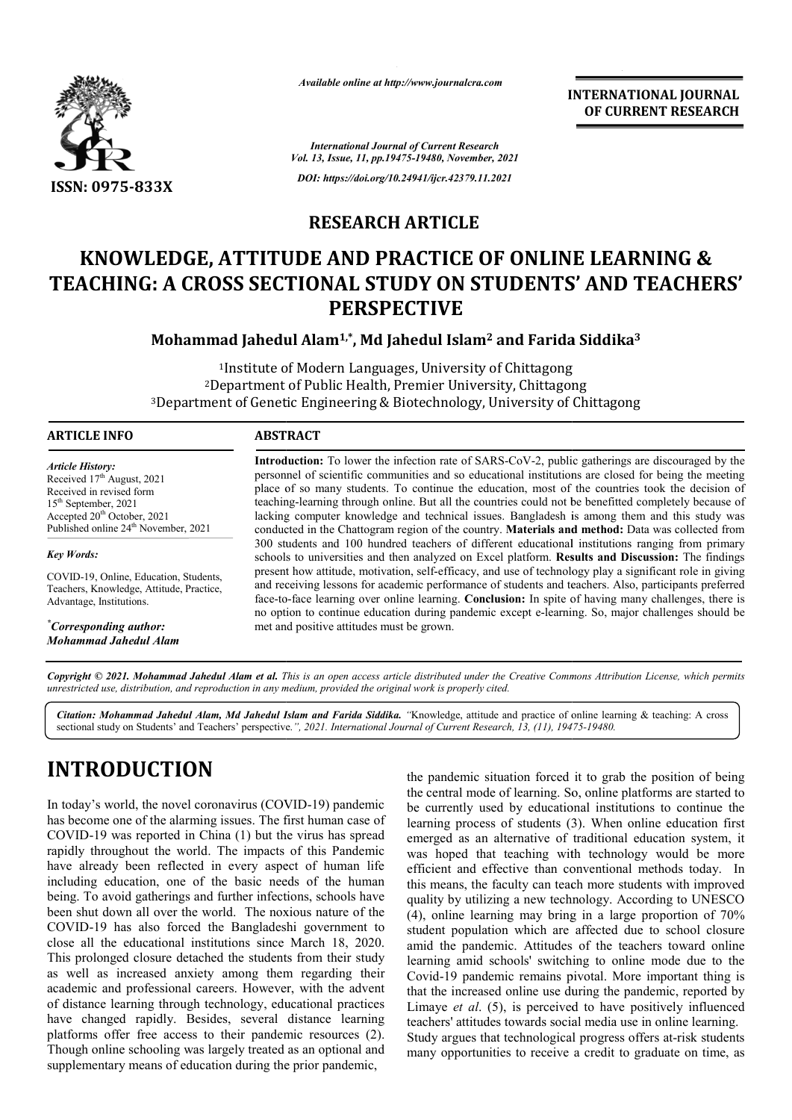

*Available online at http://www.journalcra.com*

**INTERNATIONAL JOURNAL OF CURRENT RESEARCH**

*International Journal of Current Research Vol. 13, Issue, 11, pp.19475-19480, November, 2021 DOI: https://doi.org/10.24941/ijcr.42379.11.2021*

## **RESEARCH ARTICLE**

# **KNOWLEDGE, ATTITUDE AND PRACTICE OF ONLINE LEARNING & TEACHING: A CROSS SECTIONAL STUDY ON STUDENTS' AND TEACHERS' PERSPECTIVE LICE OF ONLINE LEARNING &<br>THE ON STUDENTS' AND TEACHE!<br>I Islam<sup>2</sup> and Farida Siddika<sup>3</sup>**

**Mohammad Jahedul Alam Alam1,\*, Md Jahedul Islam2 and Farida Siddika**

1Institute of Modern Languages, University of Chittagong <sup>2</sup>Department of Public Health, Premier University, Chittagong Institute of Modern Languages, University of Chittagong<br>2Department of Public Health, Premier University, Chittagong<br>3Department of Genetic Engineering & Biotechnology, University of Chittagong

## **ARTICLE INFO ABSTRACT**

*Article History: Article History:* Received  $17<sup>th</sup>$  August, 2021 Received in revised form  $15<sup>th</sup> September, 2021$ Accepted 20<sup>th</sup> October, 2021 Published online 24<sup>th</sup> November, 2021

*Key Words:*

COVID-19, Online, Education, Students, Teachers, Knowledge, Attitude, Practice, Advantage, Institutions.

*\* Corresponding author: Mohammad Jahedul Alam*

**Introduction:**  To lower the infection rate of SARS-CoV-2, public gatherings are discouraged by the personnel of scientific communities and so educational institutions are closed for being the meeting place of so many students. To continue the education, most of the countries took the decision of teaching teaching-learning through online. But all the countries could not be benefitted completely because of teaching-learning through online. But all the countries could not be benefitted completely because of lacking computer knowledge and technical issues. Bangladesh is among them and this study was conducted in the Chattogram region of the country. Materials and method: Data was collected from 300 students and 100 hundred teachers of different educational institutions ranging from primary schools to universities and then analyzed on Excel platform. **Results and Discussion: Discussion:** The findings present how attitude, motivation, self-efficacy, and use of technology play a significant role in giving and receiving lessons for academic performance of students and teachers. Also, participants preferred face-to to-face learning over online learning. **Conclusion:** In spite of having many challenges, there is present how attitude, motivation, self-efficacy, and use of technology play a significant role in giving and receiving lessons for academic performance of students and teachers. Also, participants preferred face-to-face le met and positive attitudes must be grown. Introduction: To lower the infection rate of SARS-CoV-2, public gatherings are discouraged by the personnel of scientific communities and so educational institutions are closed for being the meeting place of so many studen

Copyright © 2021. Mohammad Jahedul Alam et al. This is an open access article distributed under the Creative Commons Attribution License, which permits *unrestricted use, distribution, and reproduction in any medium, provided the original work is properly cited.*

Citation: Mohammad Jahedul Alam, Md Jahedul Islam and Farida Siddika. "Knowledge, attitude and practice of online learning & teaching: A cross sectional study on Students' and Teachers' perspective. *", 2021. International Journal of Current Research, 13, (11), 19475 19475-19480.*

# **INTRODUCTION**

In today's world, the novel coronavirus (COVID (COVID-19) pandemic has become one of the alarming issues. The first human case of COVID-19 was reported in China (1) but the virus has spread rapidly throughout the world. The impacts of this Pandemic have already been reflected in every aspect of human life including education, one of the basic needs of the human being. To avoid gatherings and further infections, schools have been shut down all over the world. The noxious nature of the COVID-19 has also forced the Bangladeshi government to close all the educational institutions since March 18, 2020. This prolonged closure detached the students from their study as well as increased anxiety among them regarding their academic and professional careers. However, with the advent of distance learning through technology, educational practices have changed rapidly. Besides, several distance learning COVID-19 has also forced the Bangladeshi government to<br>close all the educational institutions since March 18, 2020.<br>This prolonged closure detached the students from their study<br>as well as increased anxiety among them rega Though online schooling was largely treated as an optional and supplementary means of education during the prior pandemic,

the pandemic situation forced it to grab the position of being the central mode of learning. So, online platforms are started to be currently used by educational institutions to continue the learning process of students (3). When online education first emerged as an alternative of traditional education system, it was hoped that teaching with technology would be more efficient and effective than conventional methods today. In this means, the faculty can teach more students with improved quality by utilizing a new technology. According to UNESCO (4), online learning may bring in a large proportion of 70% student population which are affected due to school closure amid the pandemic. Attitudes of the teachers toward online learning amid schools' switching to online mode due to the Covid-19 pandemic remains pivotal. More important thing is that the increased online use during the pandemic, reported by Limaye *et al*. (5), is perceived to have positively influenced teachers' attitudes towards social media use in onl Study argues that technological progress offers at-risk students many opportunities to receive a credit to graduate on time, as pandemic situation forced it to grab the position of being<br>central mode of learning. So, online platforms are started to<br>currently used by educational institutions to continue the<br>ming process of students (3). When online reged as an alternative of traditional education system, it<br>is hoped that teaching with technology would be more<br>icient and effective than conventional methods today. In<br>is means, the faculty can teach more students with i 19 pandemic remains pivotal. More important thing is<br>e increased online use during the pandemic, reported b<br>e *et al.* (5), is perceived to have positively influence<br>s' attitudes towards social media use in online learnin INTERNATIONAL JOURNAL<br>
OF CURRENT RESEARCH<br>
OF CURRENT RESEARCH<br>
COVERT RESEARCH<br>
COVERT CONTING &<br>
ENTIST AND TEACHERS<br>
Farida Siddika<sup>3</sup><br>
tagong<br>
sitty of Chittagong<br>
sitty of Chittagong<br>
sitty of Chittagong<br>
sitty of C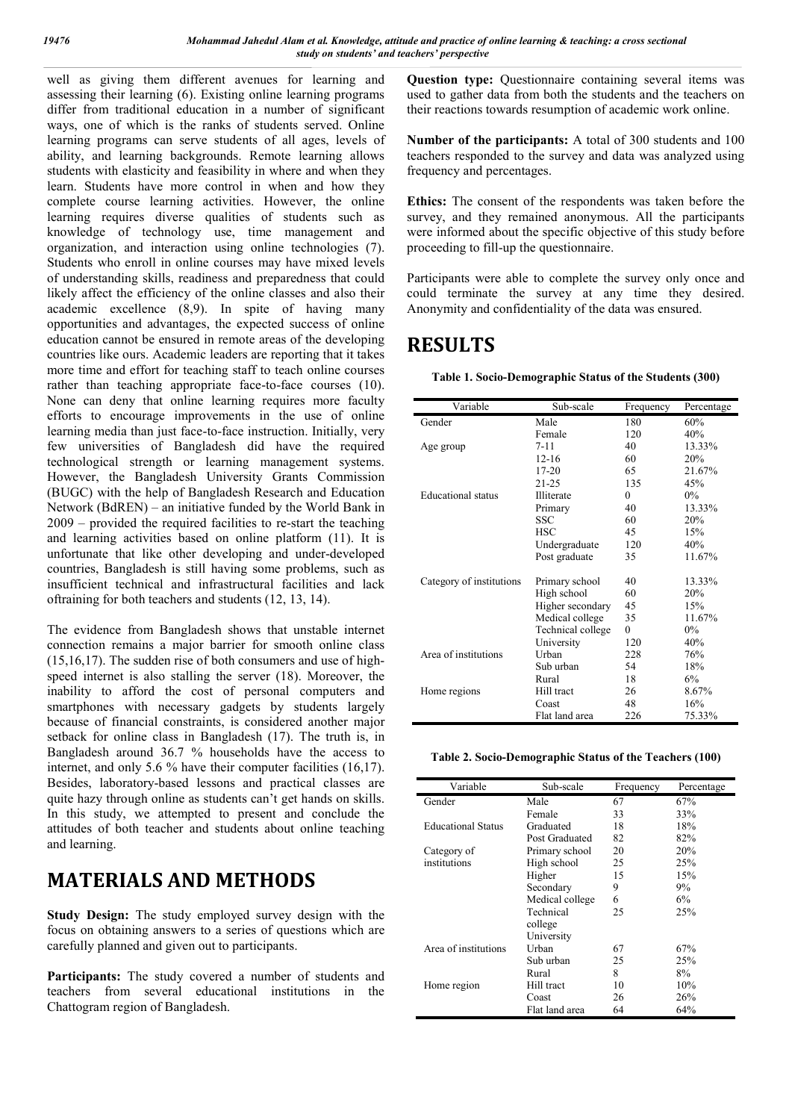well as giving them different avenues for learning and assessing their learning (6). Existing online learning programs differ from traditional education in a number of significant ways, one of which is the ranks of students served. Online learning programs can serve students of all ages, levels of ability, and learning backgrounds. Remote learning allows students with elasticity and feasibility in where and when they learn. Students have more control in when and how they complete course learning activities. However, the online learning requires diverse qualities of students such as knowledge of technology use, time management and organization, and interaction using online technologies (7). Students who enroll in online courses may have mixed levels of understanding skills, readiness and preparedness that could likely affect the efficiency of the online classes and also their academic excellence (8,9). In spite of having many opportunities and advantages, the expected success of online education cannot be ensured in remote areas of the developing countries like ours. Academic leaders are reporting that it takes more time and effort for teaching staff to teach online courses rather than teaching appropriate face-to-face courses (10). None can deny that online learning requires more faculty efforts to encourage improvements in the use of online learning media than just face-to-face instruction. Initially, very few universities of Bangladesh did have the required technological strength or learning management systems. However, the Bangladesh University Grants Commission (BUGC) with the help of Bangladesh Research and Education Network (BdREN) – an initiative funded by the World Bank in 2009 – provided the required facilities to re-start the teaching and learning activities based on online platform (11). It is unfortunate that like other developing and under-developed countries, Bangladesh is still having some problems, such as insufficient technical and infrastructural facilities and lack oftraining for both teachers and students (12, 13, 14).

The evidence from Bangladesh shows that unstable internet connection remains a major barrier for smooth online class (15,16,17). The sudden rise of both consumers and use of highspeed internet is also stalling the server (18). Moreover, the inability to afford the cost of personal computers and smartphones with necessary gadgets by students largely because of financial constraints, is considered another major setback for online class in Bangladesh (17). The truth is, in Bangladesh around 36.7 % households have the access to internet, and only 5.6 % have their computer facilities (16,17). Besides, laboratory-based lessons and practical classes are quite hazy through online as students can't get hands on skills. In this study, we attempted to present and conclude the attitudes of both teacher and students about online teaching and learning.

# **MATERIALS AND METHODS**

**Study Design:** The study employed survey design with the focus on obtaining answers to a series of questions which are carefully planned and given out to participants.

**Participants:** The study covered a number of students and teachers from several educational institutions in the Chattogram region of Bangladesh.

**Question type:** Questionnaire containing several items was used to gather data from both the students and the teachers on their reactions towards resumption of academic work online.

**Number of the participants:** A total of 300 students and 100 teachers responded to the survey and data was analyzed using frequency and percentages.

**Ethics:** The consent of the respondents was taken before the survey, and they remained anonymous. All the participants were informed about the specific objective of this study before proceeding to fill-up the questionnaire.

Participants were able to complete the survey only once and could terminate the survey at any time they desired. Anonymity and confidentiality of the data was ensured.

# **RESULTS**

| Variable                 | Sub-scale         | Frequency | Percentage |
|--------------------------|-------------------|-----------|------------|
| Gender                   | Male              | 180       | 60%        |
|                          | Female            | 120       | 40%        |
| Age group                | $7 - 11$          | 40        | 13.33%     |
|                          | $12 - 16$         | 60        | 20%        |
|                          | $17 - 20$         | 65        | 21.67%     |
|                          | $21 - 25$         | 135       | 45%        |
| Educational status       | Illiterate        | $\Omega$  | $0\%$      |
|                          | Primary           | 40        | 13.33%     |
|                          | <b>SSC</b>        | 60        | 20%        |
|                          | <b>HSC</b>        | 45        | 15%        |
|                          | Undergraduate     | 120       | 40%        |
|                          | Post graduate     | 35        | 11.67%     |
| Category of institutions | Primary school    | 40        | 13.33%     |
|                          | High school       | 60        | 20%        |
|                          | Higher secondary  | 45        | 15%        |
|                          | Medical college   | 35        | 11.67%     |
|                          | Technical college | $\Omega$  | $0\%$      |
|                          | University        | 120       | 40%        |
| Area of institutions     | Urban             | 228       | 76%        |
|                          | Sub urban         | 54        | 18%        |
|                          | Rural             | 18        | 6%         |
| Home regions             | Hill tract        | 26        | 8.67%      |
|                          | Coast             | 48        | 16%        |
|                          | Flat land area    | 226       | 75.33%     |

**Table 2. Socio-Demographic Status of the Teachers (100)**

| Variable                  | Sub-scale       | Frequency | Percentage |
|---------------------------|-----------------|-----------|------------|
| Gender                    | Male            | 67        | 67%        |
|                           | Female          | 33        | 33%        |
| <b>Educational Status</b> | Graduated       | 18        | 18%        |
|                           | Post Graduated  | 82        | 82%        |
| Category of               | Primary school  | 20        | 20%        |
| institutions              | High school     | 25        | 25%        |
|                           | Higher          | 15        | 15%        |
|                           | Secondary       | 9         | 9%         |
|                           | Medical college | 6         | 6%         |
|                           | Technical       | 25        | 25%        |
|                           | college         |           |            |
|                           | University      |           |            |
| Area of institutions      | Urban           | 67        | 67%        |
|                           | Sub urban       | 25        | 25%        |
|                           | Rural           | 8         | 8%         |
| Home region               | Hill tract      | 10        | 10%        |
|                           | Coast           | 26        | 26%        |
|                           | Flat land area  | 64        | 64%        |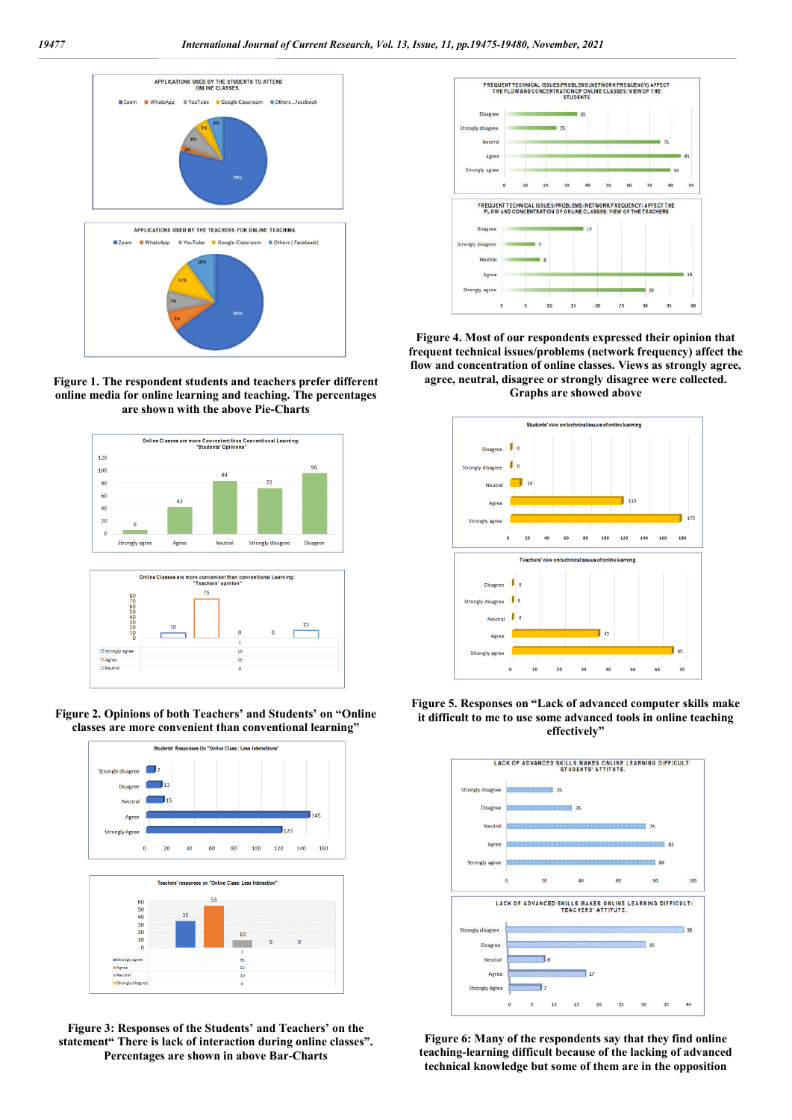

**Figure 1. The respondent students and teachers prefer different online media for online learning and teaching. The percentages are shown with the above Pie-Charts**



**Figure 2. Opinions of both Teachers' and Students' on "Online classes are more convenient than conventional learning"**



**Figure 3: Responses of the Students' and Teachers' on the statement" There is lack of interaction during online classes". Percentages are shown in above Bar-Charts**



**Figure 4. Most of our respondents expressed their opinion that frequent technical issues/problems (network frequency) affect the flow and concentration of online classes. Views as strongly agree, agree, neutral, disagree or strongly disagree were collected. Graphs are showed above**



**Figure 5. Responses on "Lack of advanced computer skills make it difficult to me to use some advanced tools in online teaching effectively"**



**Figure 6: Many of the respondents say that they find online teaching-learning difficult because of the lacking of advanced technical knowledge but some of them are in the opposition**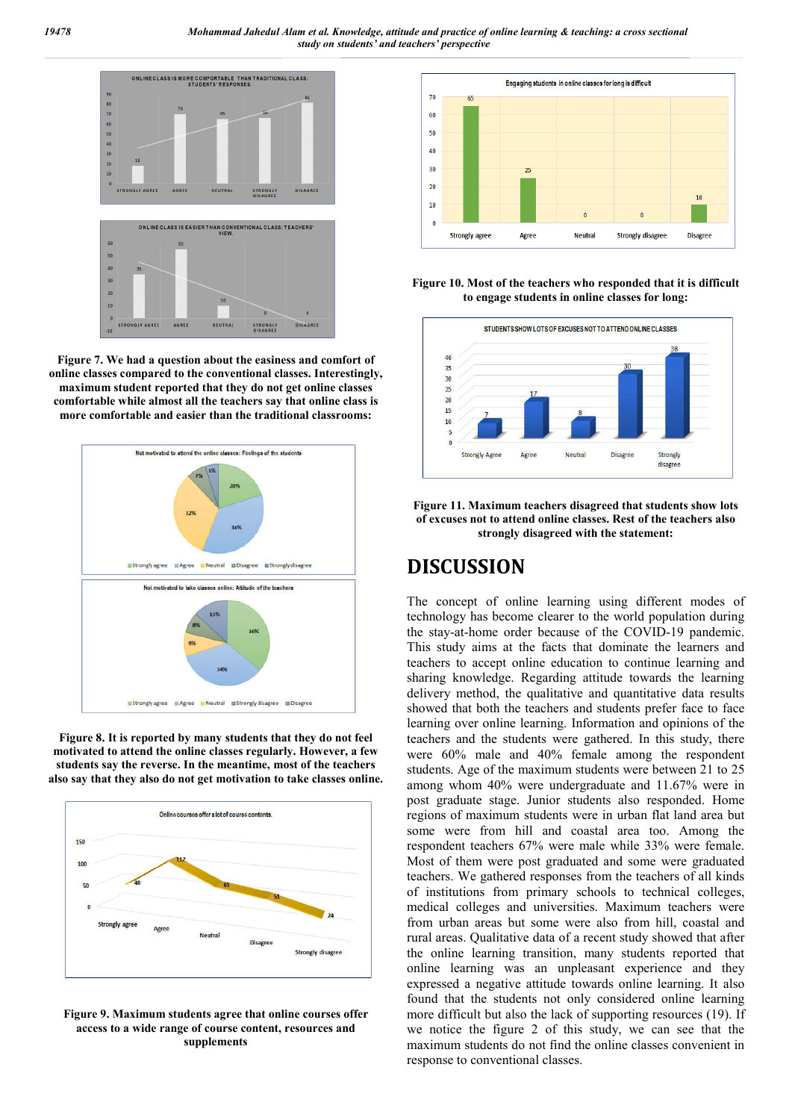

**Figure 7. We had a question about the easiness and comfort of online classes compared to the conventional classes. Interestingly, maximum student reported that they do not get online classes comfortable while almost all the teachers say that online class is more comfortable and easier than the traditional classrooms:**



**Figure 8. It is reported by many students that they do not feel motivated to attend the online classes regularly. However, a few students say the reverse. In the meantime, most of the teachers also say that they also do not get motivation to take classes online.**



**Figure 9. Maximum students agree that online courses offer access to a wide range of course content, resources and supplements**



**Figure 10. Most of the teachers who responded that it is difficult to engage students in online classes for long:**



**Figure 11. Maximum teachers disagreed that students show lots of excuses not to attend online classes. Rest of the teachers also strongly disagreed with the statement:**

# **DISCUSSION**

The concept of online learning using different modes of technology has become clearer to the world population during the stay-at-home order because of the COVID-19 pandemic. This study aims at the facts that dominate the learners and teachers to accept online education to continue learning and sharing knowledge. Regarding attitude towards the learning delivery method, the qualitative and quantitative data results showed that both the teachers and students prefer face to face learning over online learning. Information and opinions of the teachers and the students were gathered. In this study, there were 60% male and 40% female among the respondent students. Age of the maximum students were between 21 to 25 among whom 40% were undergraduate and 11.67% were in post graduate stage. Junior students also responded. Home regions of maximum students were in urban flat land area but some were from hill and coastal area too. Among the respondent teachers 67% were male while 33% were female. Most of them were post graduated and some were graduated teachers. We gathered responses from the teachers of all kinds of institutions from primary schools to technical colleges, medical colleges and universities. Maximum teachers were from urban areas but some were also from hill, coastal and rural areas. Qualitative data of a recent study showed that after the online learning transition, many students reported that online learning was an unpleasant experience and they expressed a negative attitude towards online learning. It also found that the students not only considered online learning more difficult but also the lack of supporting resources (19). If we notice the figure 2 of this study, we can see that the maximum students do not find the online classes convenient in response to conventional classes.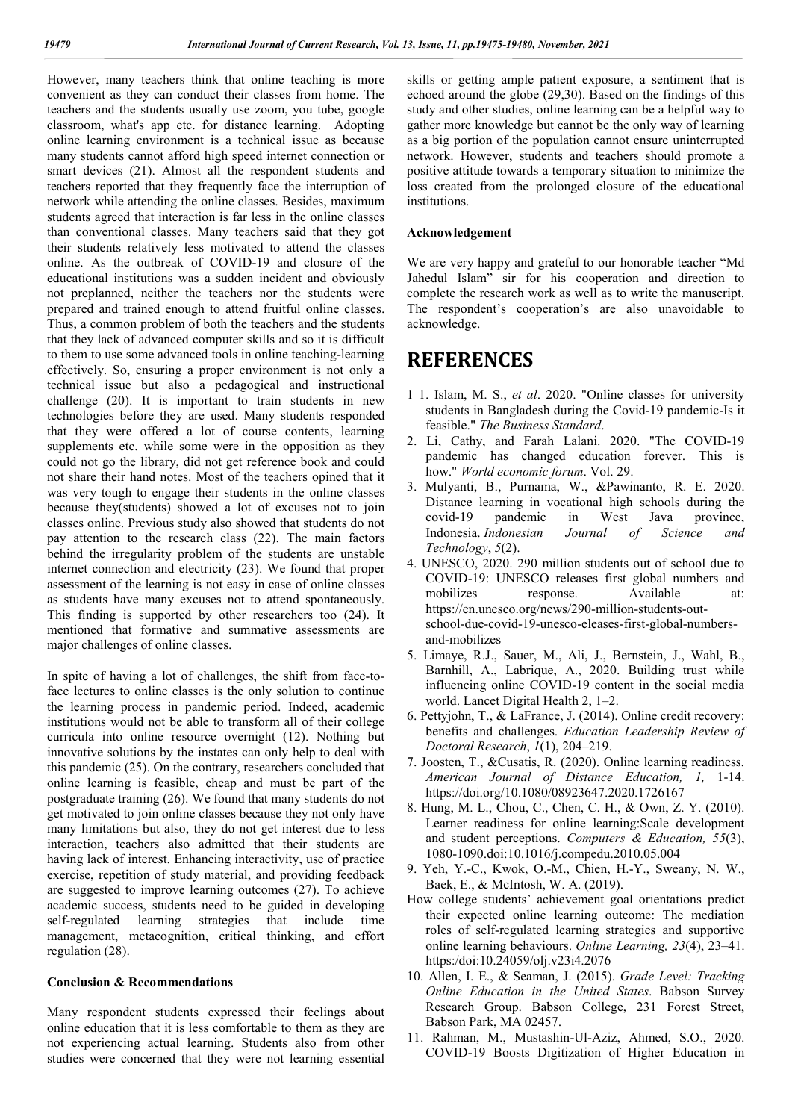However, many teachers think that online teaching is more convenient as they can conduct their classes from home. The teachers and the students usually use zoom, you tube, google classroom, what's app etc. for distance learning. Adopting online learning environment is a technical issue as because many students cannot afford high speed internet connection or smart devices (21). Almost all the respondent students and teachers reported that they frequently face the interruption of network while attending the online classes. Besides, maximum students agreed that interaction is far less in the online classes than conventional classes. Many teachers said that they got their students relatively less motivated to attend the classes online. As the outbreak of COVID-19 and closure of the educational institutions was a sudden incident and obviously not preplanned, neither the teachers nor the students were prepared and trained enough to attend fruitful online classes. Thus, a common problem of both the teachers and the students that they lack of advanced computer skills and so it is difficult to them to use some advanced tools in online teaching-learning effectively. So, ensuring a proper environment is not only a technical issue but also a pedagogical and instructional challenge (20). It is important to train students in new technologies before they are used. Many students responded that they were offered a lot of course contents, learning supplements etc. while some were in the opposition as they could not go the library, did not get reference book and could not share their hand notes. Most of the teachers opined that it was very tough to engage their students in the online classes because they(students) showed a lot of excuses not to join classes online. Previous study also showed that students do not pay attention to the research class (22). The main factors behind the irregularity problem of the students are unstable internet connection and electricity (23). We found that proper assessment of the learning is not easy in case of online classes as students have many excuses not to attend spontaneously. This finding is supported by other researchers too (24). It mentioned that formative and summative assessments are major challenges of online classes.

In spite of having a lot of challenges, the shift from face-toface lectures to online classes is the only solution to continue the learning process in pandemic period. Indeed, academic institutions would not be able to transform all of their college curricula into online resource overnight (12). Nothing but innovative solutions by the instates can only help to deal with this pandemic (25). On the contrary, researchers concluded that online learning is feasible, cheap and must be part of the postgraduate training (26). We found that many students do not get motivated to join online classes because they not only have many limitations but also, they do not get interest due to less interaction, teachers also admitted that their students are having lack of interest. Enhancing interactivity, use of practice exercise, repetition of study material, and providing feedback are suggested to improve learning outcomes (27). To achieve academic success, students need to be guided in developing self-regulated learning strategies that include time management, metacognition, critical thinking, and effort regulation (28).

### **Conclusion & Recommendations**

Many respondent students expressed their feelings about online education that it is less comfortable to them as they are not experiencing actual learning. Students also from other studies were concerned that they were not learning essential

skills or getting ample patient exposure, a sentiment that is echoed around the globe (29,30). Based on the findings of this study and other studies, online learning can be a helpful way to gather more knowledge but cannot be the only way of learning as a big portion of the population cannot ensure uninterrupted network. However, students and teachers should promote a positive attitude towards a temporary situation to minimize the loss created from the prolonged closure of the educational institutions.

#### **Acknowledgement**

We are very happy and grateful to our honorable teacher "Md Jahedul Islam" sir for his cooperation and direction to complete the research work as well as to write the manuscript. The respondent's cooperation's are also unavoidable to acknowledge.

## **REFERENCES**

- 1 1. Islam, M. S., *et al*. 2020. "Online classes for university students in Bangladesh during the Covid-19 pandemic-Is it feasible." *The Business Standard*.
- 2. Li, Cathy, and Farah Lalani. 2020. "The COVID-19 pandemic has changed education forever. This is how." *World economic forum*. Vol. 29.
- 3. Mulyanti, B., Purnama, W., &Pawinanto, R. E. 2020. Distance learning in vocational high schools during the covid-19 pandemic in West Java province, Indonesia. *Indonesian Journal of Science and Technology*, *5*(2).
- 4. UNESCO, 2020. 290 million students out of school due to COVID-19: UNESCO releases first global numbers and mobilizes response. Available at: https://en.unesco.org/news/290-million-students-outschool-due-covid-19-unesco-eleases-first-global-numbersand-mobilizes
- 5. Limaye, R.J., Sauer, M., Ali, J., Bernstein, J., Wahl, B., Barnhill, A., Labrique, A., 2020. Building trust while influencing online COVID-19 content in the social media world. Lancet Digital Health 2, 1–2.
- 6. Pettyjohn, T., & LaFrance, J. (2014). Online credit recovery: benefits and challenges. *Education Leadership Review of Doctoral Research*, *1*(1), 204–219.
- 7. Joosten, T., &Cusatis, R. (2020). Online learning readiness. *American Journal of Distance Education, 1,* 1-14. https://doi.org/10.1080/08923647.2020.1726167
- 8. Hung, M. L., Chou, C., Chen, C. H., & Own, Z. Y. (2010). Learner readiness for online learning:Scale development and student perceptions. *Computers & Education, 55*(3), 1080-1090.doi:10.1016/j.compedu.2010.05.004
- 9. Yeh, Y.-C., Kwok, O.-M., Chien, H.-Y., Sweany, N. W., Baek, E., & McIntosh, W. A. (2019).
- How college students' achievement goal orientations predict their expected online learning outcome: The mediation roles of self-regulated learning strategies and supportive online learning behaviours. *Online Learning, 23*(4), 23–41. https:/doi:10.24059/olj.v23i4.2076
- 10. Allen, I. E., & Seaman, J. (2015). *Grade Level: Tracking Online Education in the United States*. Babson Survey Research Group. Babson College, 231 Forest Street, Babson Park, MA 02457.
- 11. Rahman, M., Mustashin-Ul-Aziz, Ahmed, S.O., 2020. COVID-19 Boosts Digitization of Higher Education in